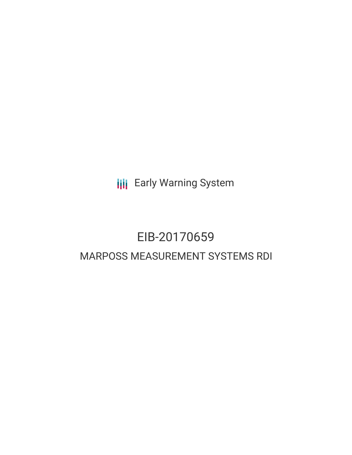**III** Early Warning System

# EIB-20170659 MARPOSS MEASUREMENT SYSTEMS RDI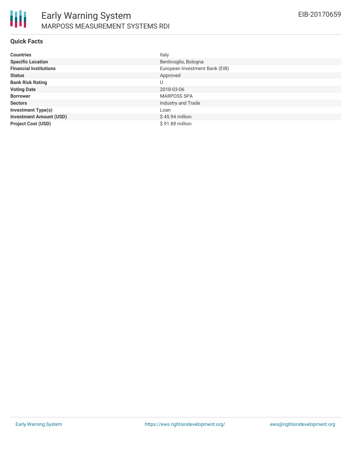#### **Quick Facts**

| <b>Countries</b>               | Italy                          |
|--------------------------------|--------------------------------|
| <b>Specific Location</b>       | Bentivoglio, Bologna           |
| <b>Financial Institutions</b>  | European Investment Bank (EIB) |
| <b>Status</b>                  | Approved                       |
| <b>Bank Risk Rating</b>        | U                              |
| <b>Voting Date</b>             | 2018-03-06                     |
| <b>Borrower</b>                | <b>MARPOSS SPA</b>             |
| <b>Sectors</b>                 | Industry and Trade             |
| <b>Investment Type(s)</b>      | Loan                           |
| <b>Investment Amount (USD)</b> | $$45.94$ million               |
| <b>Project Cost (USD)</b>      | \$91.88 million                |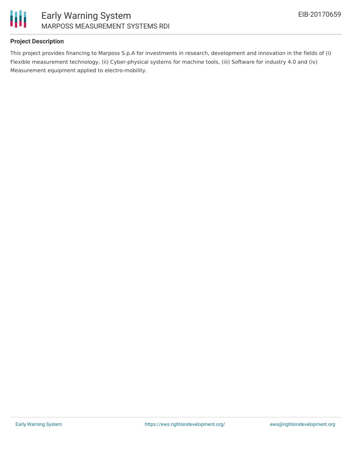

### **Project Description**

This project provides financing to Marposs S.p.A for investments in research, development and innovation in the fields of (i) Flexible measurement technology, (ii) Cyber-physical systems for machine tools, (iii) Software for industry 4.0 and (iv) Measurement equipment applied to electro-mobility.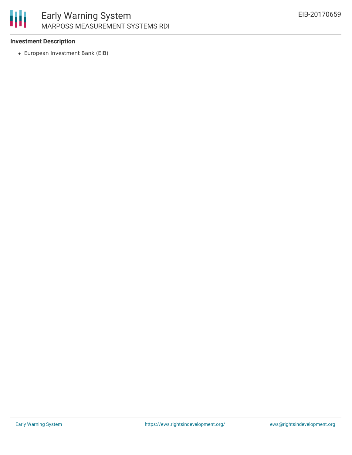

#### **Investment Description**

European Investment Bank (EIB)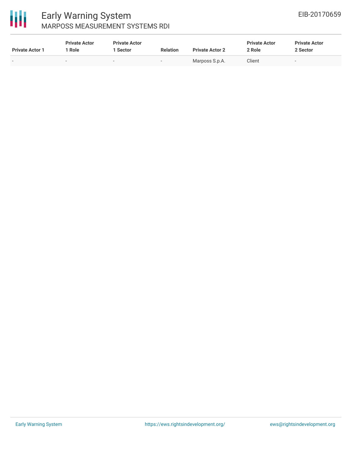

## Early Warning System MARPOSS MEASUREMENT SYSTEMS RDI

| <b>Private Actor 1</b> | <b>Private Actor</b><br>Role | <b>Private Actor</b><br>1 Sector | <b>Relation</b>          | <b>Private Actor 2</b> | <b>Private Actor</b><br>2 Role | <b>Private Actor</b><br>2 Sector |  |
|------------------------|------------------------------|----------------------------------|--------------------------|------------------------|--------------------------------|----------------------------------|--|
| -                      | $\sim$                       |                                  | $\overline{\phantom{0}}$ | Marposs S.p.A.         | Client                         |                                  |  |